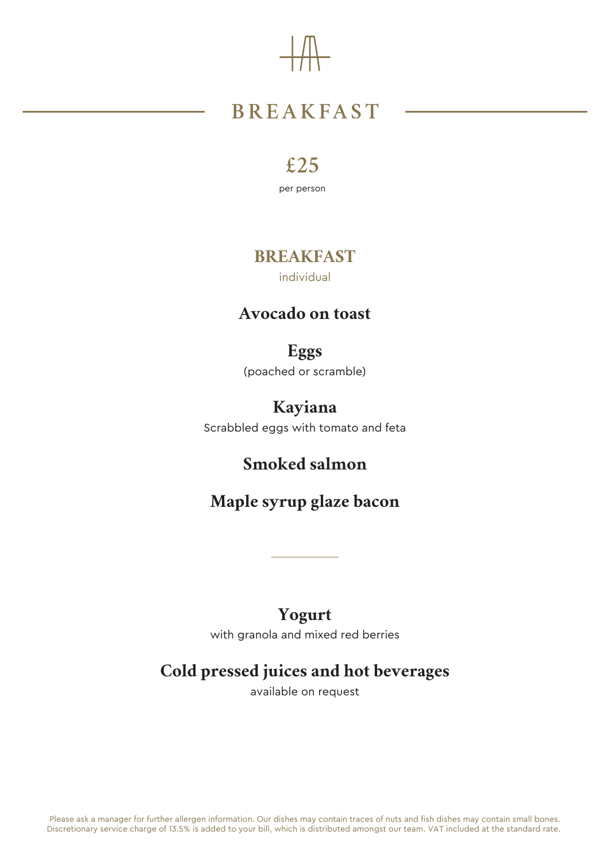Please ask a manager for further allergen information. Our dishes may contain traces of nuts and fish dishes may contain small bones. Discretionary service charge of 13.5% is added to your bill, which is distributed amongst our team. VAT included at the standard rate.

# **BREAKFAST**

## **£25**

per person

### **BREAKFAST** individual

### **Avocado on toast**

## **Eggs**

(poached or scramble)

## **Kayiana**

Scrabbled eggs with tomato and feta

## **Smoked salmon**

## **Maple syrup glaze bacon**

### **Yogurt** with granola and mixed red berries

### **Cold pressed juices and hot beverages**

available on request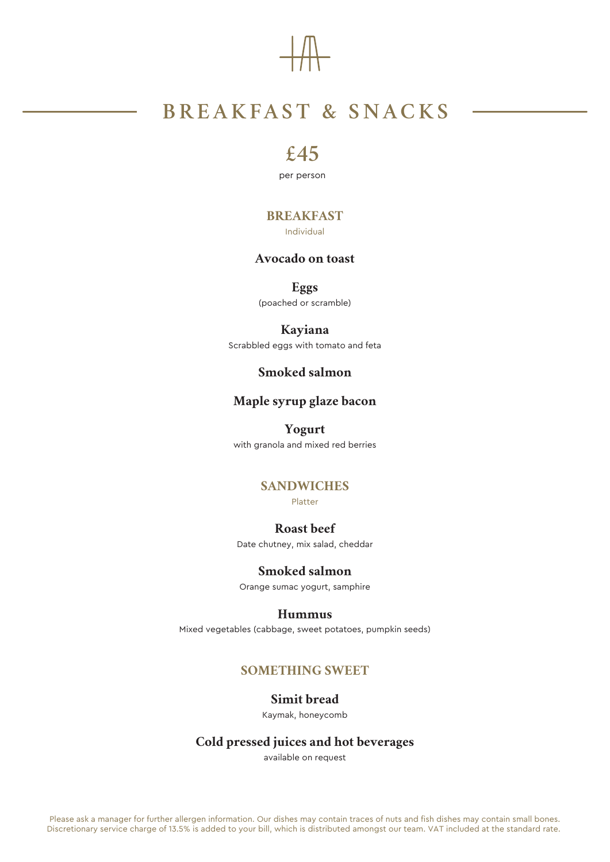## **BREAKFAST & SNACKS**

Please ask a manager for further allergen information. Our dishes may contain traces of nuts and fish dishes may contain small bones. Discretionary service charge of 13.5% is added to your bill, which is distributed amongst our team. VAT included at the standard rate.

### **£45**

per person

#### **BREAKFAST**

Individual

#### **Avocado on toast**

**Eggs** (poached or scramble)

### **Kayiana**

Scrabbled eggs with tomato and feta

#### **Smoked salmon**

#### **Maple syrup glaze bacon**

**Yogurt** with granola and mixed red berries

#### **SANDWICHES**

Platter

#### **Roast beef**

Date chutney, mix salad, cheddar

#### **Smoked salmon**

Orange sumac yogurt, samphire

#### **Hummus**

Mixed vegetables (cabbage, sweet potatoes, pumpkin seeds)

#### **SOMETHING SWEET**

#### **Simit bread**

Kaymak, honeycomb

#### **Cold pressed juices and hot beverages**

available on request